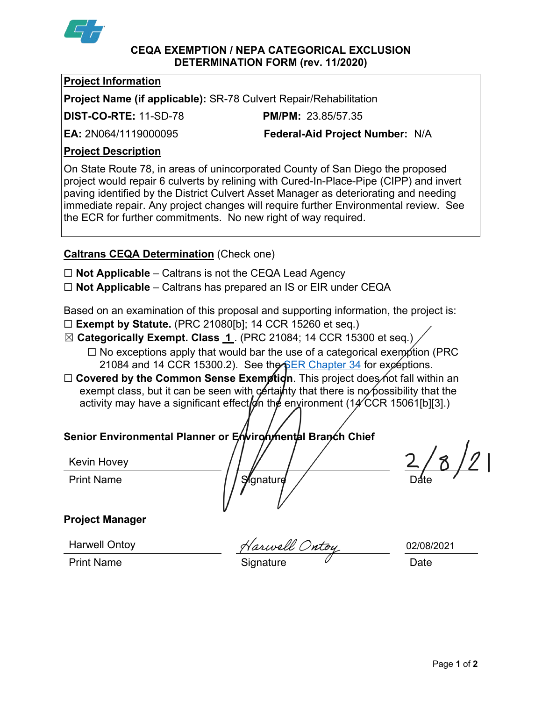

#### **CEQA EXEMPTION / NEPA CATEGORICAL EXCLUSION DETERMINATION FORM (rev. 11/2020)**

## **Project Information**

**Project Name (if applicable):** SR-78 Culvert Repair/Rehabilitation

**DIST-CO-RTE:** 11-SD-78 **PM/PM:** 23.85/57.35

**EA:** 2N064/1119000095 **Federal-Aid Project Number:** N/A

## **Project Description**

On State Route 78, in areas of unincorporated County of San Diego the proposed project would repair 6 culverts by relining with Cured-In-Place-Pipe (CIPP) and invert paving identified by the District Culvert Asset Manager as deteriorating and needing immediate repair. Any project changes will require further Environmental review. See the ECR for further commitments. No new right of way required.

# **Caltrans CEQA Determination** (Check one)

- ☐ **Not Applicable** Caltrans is not the CEQA Lead Agency
- ☐ **Not Applicable** Caltrans has prepared an IS or EIR under CEQA

Based on an examination of this proposal and supporting information, the project is:

- ☐ **Exempt by Statute.** (PRC 21080[b]; 14 CCR 15260 et seq.)
- ☒ **Categorically Exempt. Class 1** . (PRC 21084; 14 CCR 15300 et seq.)
	- $\Box$  No exceptions apply that would bar the use of a categorical exemption (PRC 21084 and 14 CCR 15300.2). See the [SER Chapter 34](https://dot.ca.gov/programs/environmental-analysis/standard-environmental-reference-ser/volume-1-guidance-for-compliance/ch-34-exemptions-to-ceqa#except) for exceptions.
- □ **Covered by the Common Sense Exemption**. This project does not fall within an exempt class, but it can be seen with certainty that there is no possibility that the activity may have a significant effect on the environment (14 CCR 15061[b][3].)

# **Senior Environmental Planner or Environmental Branch Chief**

Kevin Hovey

Kevin Hovey  $\sqrt{\frac{1}{\sqrt{\frac{1}{2}}}}$   $2/8/2$ 

# **Project Manager**

Harwell Ontoy

Harwell Ontoi

Print Name **Signature** Date **Date** 

02/08/2021